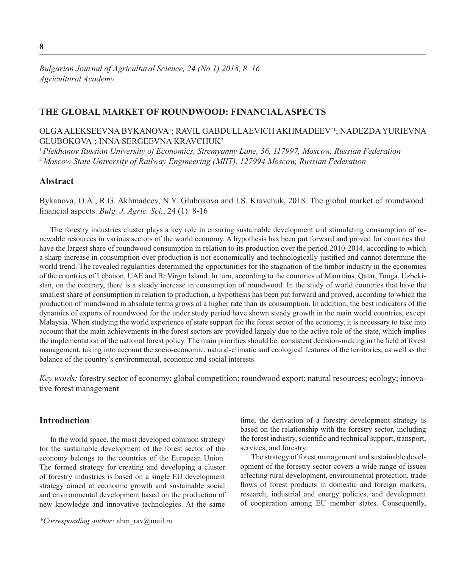## **THE GLOBAL MARKET OF ROUNDWOOD: FINANCIAL ASPECTS**

# OLGA ALEKSEEVNA BYKANOVA1 ; RAVIL GABDULLAEVICH AKHMADEEV\*1; NADEZDA YURIEVNA GLUBOKOVA1 ; INNA SERGEEVNA KRAVCHUK2

<sup>1</sup>*Plekhanov Russian University of Economics, Stremyanny Lane, 36, 117997, Moscow, Russian Federation* <sup>2</sup>*Moscow State University of Railway Engineering (MIIT), 127994 Moscow, Russian Federation*

## **Abstract**

Bykanova, O.A., R.G. Akhmadeev, N.Y. Glubokova and I.S. Kravchuk, 2018. The global market of roundwood: financial aspects. *Bulg. J. Agric. Sci.*, 24 (1): 8-16

The forestry industries cluster plays a key role in ensuring sustainable development and stimulating consumption of renewable resources in various sectors of the world economy. A hypothesis has been put forward and proved for countries that have the largest share of roundwood consumption in relation to its production over the period 2010-2014, according to which a sharp increase in consumption over production is not economically and technologically justified and cannot determine the world trend. The revealed regularities determined the opportunities for the stagnation of the timber industry in the economies of the countries of Lebanon, UAE and Br Virgin Island. In turn, according to the countries of Mauritius, Qatar, Tonga, Uzbekistan, on the contrary, there is a steady increase in consumption of roundwood. In the study of world countries that have the smallest share of consumption in relation to production, a hypothesis has been put forward and proved, according to which the production of roundwood in absolute terms grows at a higher rate than its consumption. In addition, the best indicators of the dynamics of exports of roundwood for the under study period have shown steady growth in the main world countries, except Malaysia. When studying the world experience of state support for the forest sector of the economy, it is necessary to take into account that the main achievements in the forest sectors are provided largely due to the active role of the state, which implies the implementation of the national forest policy. The main priorities should be: consistent decision-making in the field of forest management, taking into account the socio-economic, natural-climatic and ecological features of the territories, as well as the balance of the country's environmental, economic and social interests.

*Key words:* forestry sector of economy; global competition; roundwood export; natural resources; ecology;innovative forest management

# **Introduction**

In the world space, the most developed common strategy for the sustainable development of the forest sector of the economy belongs to the countries of the European Union. The formed strategy for creating and developing a cluster of forestry industries is based on a single EU development strategy aimed at economic growth and sustainable social and environmental development based on the production of new knowledge and innovative technologies. At the same time, the derivation of a forestry development strategy is based on the relationship with the forestry sector, including the forest industry, scientific and technical support, transport, services, and forestry.

The strategy of forest management and sustainable development of the forestry sector covers a wide range of issues affecting rural development, environmental protection, trade flows of forest products in domestic and foreign markets, research, industrial and energy policies, and development of cooperation among EU member states. Consequently,

*<sup>\*</sup>Corresponding author:* ahm\_rav@mail.ru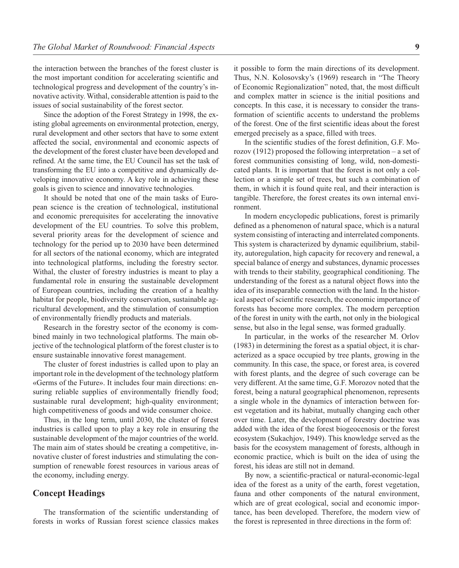the interaction between the branches of the forest cluster is the most important condition for accelerating scientific and technological progress and development of the country's innovative activity. Withal, considerable attention is paid to the issues of social sustainability of the forest sector.

Since the adoption of the Forest Strategy in 1998, the existing global agreements on environmental protection, energy, rural development and other sectors that have to some extent affected the social, environmental and economic aspects of the development of the forest cluster have been developed and refined. At the same time, the EU Council has set the task of transforming the EU into a competitive and dynamically developing innovative economy. A key role in achieving these goals is given to science and innovative technologies.

It should be noted that one of the main tasks of European science is the creation of technological, institutional and economic prerequisites for accelerating the innovative development of the EU countries. To solve this problem, several priority areas for the development of science and technology for the period up to 2030 have been determined for all sectors of the national economy, which are integrated into technological platforms, including the forestry sector. Withal, the cluster of forestry industries is meant to play a fundamental role in ensuring the sustainable development of European countries, including the creation of a healthy habitat for people, biodiversity conservation, sustainable agricultural development, and the stimulation of consumption of environmentally friendly products and materials.

Research in the forestry sector of the economy is combined mainly in two technological platforms. The main objective of the technological platform of the forest cluster is to ensure sustainable innovative forest management.

The cluster of forest industries is called upon to play an important role in the development of the technology platform «Germs of the Future». It includes four main directions: ensuring reliable supplies of environmentally friendly food; sustainable rural development; high-quality environment; high competitiveness of goods and wide consumer choice.

Thus, in the long term, until 2030, the cluster of forest industries is called upon to play a key role in ensuring the sustainable development of the major countries of the world. The main aim of states should be creating a competitive, innovative cluster of forest industries and stimulating the consumption of renewable forest resources in various areas of the economy, including energy.

## **Concept Headings**

The transformation of the scientific understanding of forests in works of Russian forest science classics makes

it possible to form the main directions of its development. Thus, N.N. Kolosovsky's (1969) research in "The Theory of Economic Regionalization" noted, that, the most difficult and complex matter in science is the initial positions and concepts. In this case, it is necessary to consider the transformation of scientific accents to understand the problems of the forest. One of the first scientific ideas about the forest emerged precisely as a space, filled with trees.

In the scientific studies of the forest definition, G.F. Morozov (1912) proposed the following interpretation – a set of forest communities consisting of long, wild, non-domesticated plants. It is important that the forest is not only a collection or a simple set of trees, but such a combination of them, in which it is found quite real, and their interaction is tangible. Therefore, the forest creates its own internal environment.

In modern encyclopedic publications, forest is primarily defined as a phenomenon of natural space, which is a natural system consisting of interacting and interrelated components. This system is characterized by dynamic equilibrium, stability, autoregulation, high capacity for recovery and renewal, a special balance of energy and substances, dynamic processes with trends to their stability, geographical conditioning. The understanding of the forest as a natural object flows into the idea of its inseparable connection with the land. In the historical aspect of scientific research, the economic importance of forests has become more complex. The modern perception of the forest in unity with the earth, not only in the biological sense, but also in the legal sense, was formed gradually.

In particular, in the works of the researcher M. Orlov (1983) in determining the forest as a spatial object, it is characterized as a space occupied by tree plants, growing in the community. In this case, the space, or forest area, is covered with forest plants, and the degree of such coverage can be very different. At the same time, G.F. Morozov noted that the forest, being a natural geographical phenomenon, represents a single whole in the dynamics of interaction between forest vegetation and its habitat, mutually changing each other over time. Later, the development of forestry doctrine was added with the idea of the forest biogeocenosis or the forest ecosystem (Sukachjov, 1949). This knowledge served as the basis for the ecosystem management of forests, although in economic practice, which is built on the idea of using the forest, his ideas are still not in demand.

By now, a scientific-practical or natural-economic-legal idea of the forest as a unity of the earth, forest vegetation, fauna and other components of the natural environment, which are of great ecological, social and economic importance, has been developed. Therefore, the modern view of the forest is represented in three directions in the form of: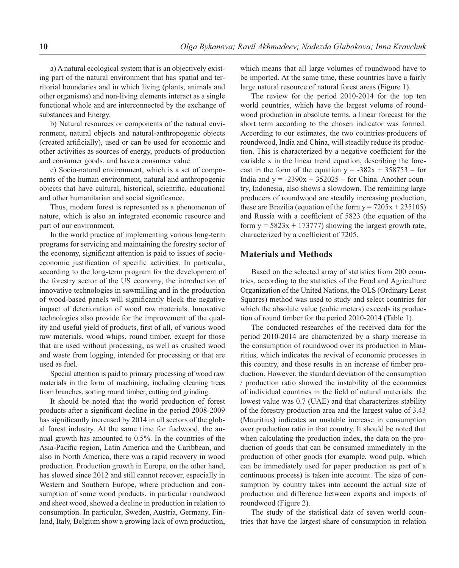a) A natural ecological system that is an objectively existing part of the natural environment that has spatial and territorial boundaries and in which living (plants, animals and other organisms) and non-living elements interact as a single functional whole and are interconnected by the exchange of substances and Energy.

b) Natural resources or components of the natural environment, natural objects and natural-anthropogenic objects (created artificially), used or can be used for economic and other activities as sources of energy, products of production and consumer goods, and have a consumer value.

c) Socio-natural environment, which is a set of components of the human environment, natural and anthropogenic objects that have cultural, historical, scientific, educational and other humanitarian and social significance.

Thus, modern forest is represented as a phenomenon of nature, which is also an integrated economic resource and part of our environment.

In the world practice of implementing various long-term programs for servicing and maintaining the forestry sector of the economy, significant attention is paid to issues of socioeconomic justification of specific activities. In particular, according to the long-term program for the development of the forestry sector of the US economy, the introduction of innovative technologies in sawmilling and in the production of wood-based panels will significantly block the negative impact of deterioration of wood raw materials. Innovative technologies also provide for the improvement of the quality and useful yield of products, first of all, of various wood raw materials, wood whips, round timber, except for those that are used without processing, as well as crushed wood and waste from logging, intended for processing or that are used as fuel.

Special attention is paid to primary processing of wood raw materials in the form of machining, including cleaning trees from branches, sorting round timber, cutting and grinding.

It should be noted that the world production of forest products after a significant decline in the period 2008-2009 has significantly increased by 2014 in all sectors of the global forest industry. At the same time for fuelwood, the annual growth has amounted to 0.5%. In the countries of the Asia-Pacific region, Latin America and the Caribbean, and also in North America, there was a rapid recovery in wood production. Production growth in Europe, on the other hand, has slowed since 2012 and still cannot recover, especially in Western and Southern Europe, where production and consumption of some wood products, in particular roundwood and sheet wood, showed a decline in production in relation to consumption. In particular, Sweden, Austria, Germany, Finland, Italy, Belgium show a growing lack of own production, which means that all large volumes of roundwood have to be imported. At the same time, these countries have a fairly large natural resource of natural forest areas (Figure 1).

The review for the period 2010-2014 for the top ten world countries, which have the largest volume of roundwood production in absolute terms, a linear forecast for the short term according to the chosen indicator was formed. According to our estimates, the two countries-producers of roundwood, India and China, will steadily reduce its production. This is characterized by a negative coefficient for the variable x in the linear trend equation, describing the forecast in the form of the equation  $y = -382x + 358753$  – for India and  $y = -2390x + 352025$  – for China. Another country, Indonesia, also shows a slowdown. The remaining large producers of roundwood are steadily increasing production, these are Brazilia (equation of the form  $y = 7205x + 235105$ ) and Russia with a coefficient of 5823 (the equation of the form  $y = 5823x + 173777$ ) showing the largest growth rate, characterized by a coefficient of 7205.

## **Materials and Methods**

Based on the selected array of statistics from 200 countries, according to the statistics of the Food and Agriculture Organization of the United Nations, the OLS (Ordinary Least Squares) method was used to study and select countries for which the absolute value (cubic meters) exceeds its production of round timber for the period 2010-2014 (Table 1).

The conducted researches of the received data for the period 2010-2014 are characterized by a sharp increase in the consumption of roundwood over its production in Mauritius, which indicates the revival of economic processes in this country, and those results in an increase of timber production. However, the standard deviation of the consumption / production ratio showed the instability of the economies of individual countries in the field of natural materials: the lowest value was 0.7 (UAE) and that characterizes stability of the forestry production area and the largest value of 3.43 (Mauritius) indicates an unstable increase in consumption over production ratio in that country. It should be noted that when calculating the production index, the data on the production of goods that can be consumed immediately in the production of other goods (for example, wood pulp, which can be immediately used for paper production as part of a continuous process) is taken into account. The size of consumption by country takes into account the actual size of production and difference between exports and imports of roundwood (Figure 2).

The study of the statistical data of seven world countries that have the largest share of consumption in relation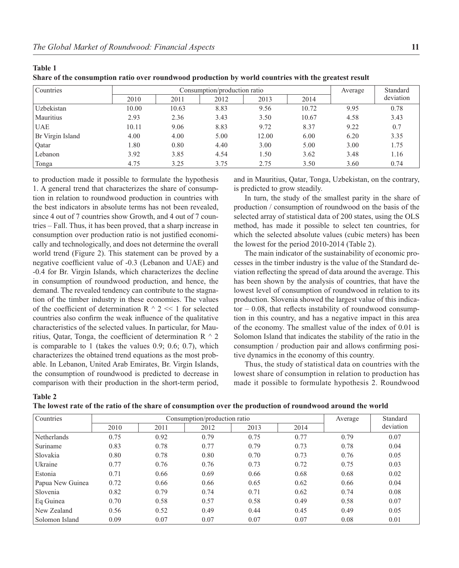| Countries        | Consumption/production ratio |       |      |       |       |      | Standard  |
|------------------|------------------------------|-------|------|-------|-------|------|-----------|
|                  | 2010                         | 2011  | 2012 | 2013  | 2014  |      | deviation |
| Uzbekistan       | 10.00                        | 10.63 | 8.83 | 9.56  | 10.72 | 9.95 | 0.78      |
| Mauritius        | 2.93                         | 2.36  | 3.43 | 3.50  | 10.67 | 4.58 | 3.43      |
| <b>UAE</b>       | 10.11                        | 9.06  | 8.83 | 9.72  | 8.37  | 9.22 | 0.7       |
| Br Virgin Island | 4.00                         | 4.00  | 5.00 | 12.00 | 6.00  | 6.20 | 3.35      |
| Qatar            | 1.80                         | 0.80  | 4.40 | 3.00  | 5.00  | 3.00 | 1.75      |
| Lebanon          | 3.92                         | 3.85  | 4.54 | 1.50  | 3.62  | 3.48 | 1.16      |
| Tonga            | 4.75                         | 3.25  | 3.75 | 2.75  | 3.50  | 3.60 | 0.74      |

**Table 1**

**Share of the consumption ratio over roundwood production by world countries with the greatest result**

to production made it possible to formulate the hypothesis 1. A general trend that characterizes the share of consumption in relation to roundwood production in countries with the best indicators in absolute terms has not been revealed, since 4 out of 7 countries show Growth, and 4 out of 7 countries – Fall. Thus, it has been proved, that a sharp increase in consumption over production ratio is not justified economically and technologically, and does not determine the overall world trend (Figure 2). This statement can be proved by a negative coefficient value of -0.3 (Lebanon and UAE) and -0.4 for Br. Virgin Islands, which characterizes the decline in consumption of roundwood production, and hence, the demand. The revealed tendency can contribute to the stagnation of the timber industry in these economies. The values of the coefficient of determination R  $\land$  2 << 1 for selected countries also confirm the weak influence of the qualitative characteristics of the selected values. In particular, for Mauritius, Qatar, Tonga, the coefficient of determination R  $\land$  2 is comparable to 1 (takes the values 0.9; 0.6; 0.7), which characterizes the obtained trend equations as the most probable. In Lebanon, United Arab Emirates, Br. Virgin Islands, the consumption of roundwood is predicted to decrease in comparison with their production in the short-term period, and in Mauritius, Qatar, Tonga, Uzbekistan, on the contrary, is predicted to grow steadily.

In turn, the study of the smallest parity in the share of production / consumption of roundwood on the basis of the selected array of statistical data of 200 states, using the OLS method, has made it possible to select ten countries, for which the selected absolute values (cubic meters) has been the lowest for the period 2010-2014 (Table 2).

The main indicator of the sustainability of economic processes in the timber industry is the value of the Standard deviation reflecting the spread of data around the average. This has been shown by the analysis of countries, that have the lowest level of consumption of roundwood in relation to its production. Slovenia showed the largest value of this indicator  $-0.08$ , that reflects instability of roundwood consumption in this country, and has a negative impact in this area of the economy. The smallest value of the index of 0.01 is Solomon Island that indicates the stability of the ratio in the  $\cos$ umption / production pair and allows confirming positive dynamics in the economy of this country.

Thus, the study of statistical data on countries with the lowest share of consumption in relation to production has made it possible to formulate hypothesis 2. Roundwood

| v<br>۰.<br>w<br>۰. |  |
|--------------------|--|
|--------------------|--|

| Countries        |      | Consumption/production ratio | Average | Standard |      |      |           |
|------------------|------|------------------------------|---------|----------|------|------|-----------|
|                  | 2010 | 2011                         | 2012    | 2013     | 2014 |      | deviation |
| Netherlands      | 0.75 | 0.92                         | 0.79    | 0.75     | 0.77 | 0.79 | 0.07      |
| Suriname         | 0.83 | 0.78                         | 0.77    | 0.79     | 0.73 | 0.78 | 0.04      |
| Slovakia         | 0.80 | 0.78                         | 0.80    | 0.70     | 0.73 | 0.76 | 0.05      |
| Ukraine          | 0.77 | 0.76                         | 0.76    | 0.73     | 0.72 | 0.75 | 0.03      |
| Estonia          | 0.71 | 0.66                         | 0.69    | 0.66     | 0.68 | 0.68 | 0.02      |
| Papua New Guinea | 0.72 | 0.66                         | 0.66    | 0.65     | 0.62 | 0.66 | 0.04      |
| Slovenia         | 0.82 | 0.79                         | 0.74    | 0.71     | 0.62 | 0.74 | 0.08      |
| Eq Guinea        | 0.70 | 0.58                         | 0.57    | 0.58     | 0.49 | 0.58 | 0.07      |
| New Zealand      | 0.56 | 0.52                         | 0.49    | 0.44     | 0.45 | 0.49 | 0.05      |
| Solomon Island   | 0.09 | 0.07                         | 0.07    | 0.07     | 0.07 | 0.08 | 0.01      |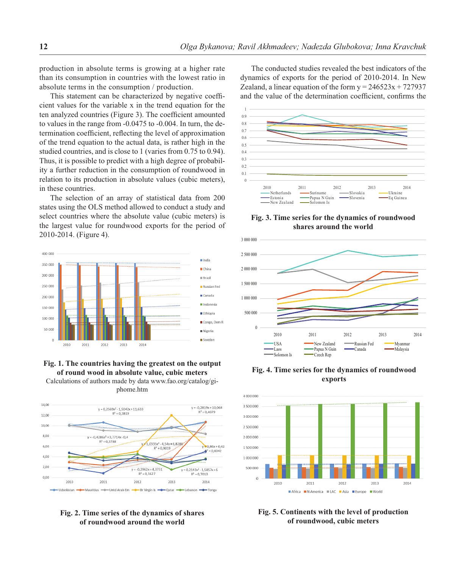production in absolute terms is growing at a higher rate than its consumption in countries with the lowest ratio in absolute terms in the consumption / production.

This statement can be characterized by negative coefficient values for the variable x in the trend equation for the ten analyzed countries (Figure 3). The coefficient amounted to values in the range from -0.0475 to -0.004. In turn, the determination coefficient, reflecting the level of approximation of the trend equation to the actual data, is rather high in the studied countries, and is close to 1 (varies from 0.75 to 0.94). Thus, it is possible to predict with a high degree of probability a further reduction in the consumption of roundwood in relation to its production in absolute values (cubic meters), in these countries.

The selection of an array of statistical data from 200 states using the OLS method allowed to conduct a study and select countries where the absolute value (cubic meters) is the largest value for roundwood exports for the period of 2010-2014. (Figure 4).



# **Fig. 1. The countries having the greatest on the output of round wood in absolute value, cubic meters**

Calculations of authors made by data www.fao.org/catalog/giphome.htm



### **Fig. 2. Time series of the dynamics of shares of roundwood around the world**

The conducted studies revealed the best indicators of the dynamics of exports for the period of 2010-2014. In New Zealand, a linear equation of the form  $y = 246523x + 727937$ and the value of the determination coefficient, confirms the



**Fig. 3. Time series for the dynamics of roundwood shares around the world**



**Fig. 4. Time series for the dynamics of roundwood exports**



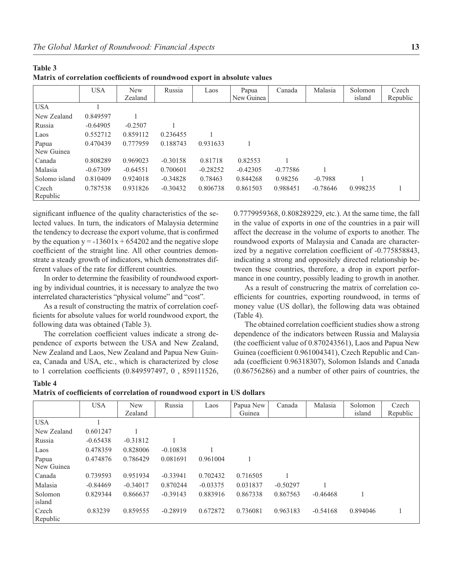|                     | <b>USA</b> | <b>New</b><br>Zealand | Russia     | Laos       | Papua<br>New Guinea | Canada     | Malasia    | Solomon<br>island | Czech<br>Republic |
|---------------------|------------|-----------------------|------------|------------|---------------------|------------|------------|-------------------|-------------------|
| <b>USA</b>          |            |                       |            |            |                     |            |            |                   |                   |
| New Zealand         | 0.849597   |                       |            |            |                     |            |            |                   |                   |
| Russia              | $-0.64905$ | $-0.2507$             |            |            |                     |            |            |                   |                   |
| Laos                | 0.552712   | 0.859112              | 0.236455   |            |                     |            |            |                   |                   |
| Papua<br>New Guinea | 0.470439   | 0.777959              | 0.188743   | 0.931633   |                     |            |            |                   |                   |
| Canada              | 0.808289   | 0.969023              | $-0.30158$ | 0.81718    | 0.82553             |            |            |                   |                   |
| Malasia             | $-0.67309$ | $-0.64551$            | 0.700601   | $-0.28252$ | $-0.42305$          | $-0.77586$ |            |                   |                   |
| Solomo island       | 0.810409   | 0.924018              | $-0.34828$ | 0.78463    | 0.844268            | 0.98256    | $-0.7988$  |                   |                   |
| Czech<br>Republic   | 0.787538   | 0.931826              | $-0.30432$ | 0.806738   | 0.861503            | 0.988451   | $-0.78646$ | 0.998235          |                   |

| Matrix of correlation coefficients of roundwood export in absolute values |  |
|---------------------------------------------------------------------------|--|
|---------------------------------------------------------------------------|--|

significant influence of the quality characteristics of the selected values. In turn, the indicators of Malaysia determine the tendency to decrease the export volume, that is confirmed by the equation  $y = -13601x + 654202$  and the negative slope coefficient of the straight line. All other countries demonstrate a steady growth of indicators, which demonstrates different values of the rate for different countries.

In order to determine the feasibility of roundwood exporting by individual countries, it is necessary to analyze the two interrelated characteristics "physical volume" and "cost".

As a result of constructing the matrix of correlation coefficients for absolute values for world roundwood export, the following data was obtained (Table 3).

The correlation coefficient values indicate a strong dependence of exports between the USA and New Zealand, New Zealand and Laos, New Zealand and Papua New Guinea, Canada and USA, etc., which is characterized by close to 1 correlation coefficients (0.849597497, 0, 859111526,

0.7779959368, 0.808289229, etc.). At the same time, the fall in the value of exports in one of the countries in a pair will affect the decrease in the volume of exports to another. The roundwood exports of Malaysia and Canada are characterized by a negative correlation coefficient of -0.775858843, indicating a strong and oppositely directed relationship between these countries, therefore, a drop in export performance in one country, possibly leading to growth in another.

As a result of construcring the matrix of correlation coefficients for countries, exporting roundwood, in terms of money value (US dollar), the following data was obtained (Table 4).

The obtained correlation coefficient studies show a strong dependence of the indicators between Russia and Malaysia (the coefficient value of  $0.870243561$ ), Laos and Papua New Guinea (coefficient 0.961004341), Czech Republic and Canada (coefficient 0.96318307), Solomon Islands and Canada (0.86756286) and a number of other pairs of countries, the

#### **Table 4**

**Table 3**

| Matrix of coefficients of correlation of roundwood export in US dollars |  |
|-------------------------------------------------------------------------|--|
|-------------------------------------------------------------------------|--|

|             | <b>USA</b> | <b>New</b> | Russia     | Laos       | Papua New | Canada     | Malasia    | Solomon  | Czech    |
|-------------|------------|------------|------------|------------|-----------|------------|------------|----------|----------|
|             |            | Zealand    |            |            | Guinea    |            |            | island   | Republic |
| USA         |            |            |            |            |           |            |            |          |          |
| New Zealand | 0.601247   |            |            |            |           |            |            |          |          |
| Russia      | $-0.65438$ | $-0.31812$ |            |            |           |            |            |          |          |
| Laos        | 0.478359   | 0.828006   | $-0.10838$ |            |           |            |            |          |          |
| Papua       | 0.474876   | 0.786429   | 0.081691   | 0.961004   |           |            |            |          |          |
| New Guinea  |            |            |            |            |           |            |            |          |          |
| Canada      | 0.739593   | 0.951934   | $-0.33941$ | 0.702432   | 0.716505  |            |            |          |          |
| Malasia     | $-0.84469$ | $-0.34017$ | 0.870244   | $-0.03375$ | 0.031837  | $-0.50297$ |            |          |          |
| Solomon     | 0.829344   | 0.866637   | $-0.39143$ | 0.883916   | 0.867338  | 0.867563   | $-0.46468$ |          |          |
| island      |            |            |            |            |           |            |            |          |          |
| Czech       | 0.83239    | 0.859555   | $-0.28919$ | 0.672872   | 0.736081  | 0.963183   | $-0.54168$ | 0.894046 |          |
| Republic    |            |            |            |            |           |            |            |          |          |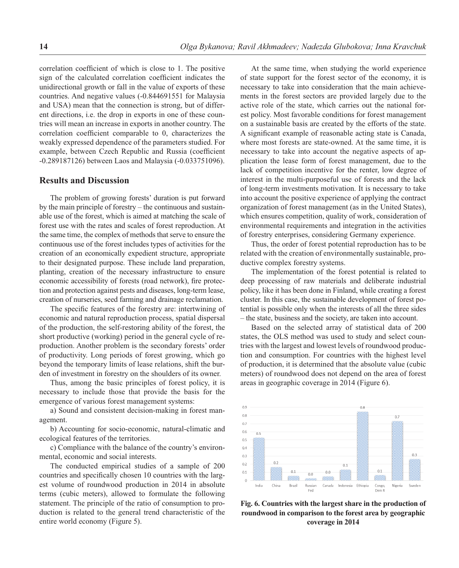correlation coefficient of which is close to 1. The positive sign of the calculated correlation coefficient indicates the unidirectional growth or fall in the value of exports of these countries. And negative values (-0.844691551 for Malaysia and USA) mean that the connection is strong, but of different directions, i.e. the drop in exports in one of these countries will mean an increase in exports in another country. The correlation coefficient comparable to 0, characterizes the weakly expressed dependence of the parameters studied. For example, between Czech Republic and Russia (coefficient -0.289187126) between Laos and Malaysia (-0.033751096).

## **Results and Discussion**

The problem of growing forests' duration is put forward by the main principle of forestry – the continuous and sustainable use of the forest, which is aimed at matching the scale of forest use with the rates and scales of forest reproduction. At the same time, the complex of methods that serve to ensure the continuous use of the forest includes types of activities for the creation of an economically expedient structure, appropriate to their designated purpose. These include land preparation, planting, creation of the necessary infrastructure to ensure economic accessibility of forests (road network), fire protection and protection against pests and diseases, long-term lease, creation of nurseries, seed farming and drainage reclamation.

The specific features of the forestry are: intertwining of economic and natural reproduction process, spatial dispersal of the production, the self-restoring ability of the forest, the short productive (working) period in the general cycle of reproduction. Another problem is the secondary forests' order of productivity. Long periods of forest growing, which go beyond the temporary limits of lease relations, shift the burden of investment in forestry on the shoulders of its owner.

Thus, among the basic principles of forest policy, it is necessary to include those that provide the basis for the emergence of various forest management systems:

a) Sound and consistent decision-making in forest management.

b) Accounting for socio-economic, natural-climatic and ecological features of the territories.

c) Compliance with the balance of the country's environmental, economic and social interests.

The conducted empirical studies of a sample of 200 countries and specifically chosen 10 countries with the largest volume of roundwood production in 2014 in absolute terms (cubic meters), allowed to formulate the following statement. The principle of the ratio of consumption to production is related to the general trend characteristic of the entire world economy (Figure 5).

At the same time, when studying the world experience of state support for the forest sector of the economy, it is necessary to take into consideration that the main achievements in the forest sectors are provided largely due to the active role of the state, which carries out the national forest policy. Most favorable conditions for forest management on a sustainable basis are created by the efforts of the state. A significant example of reasonable acting state is Canada, where most forests are state-owned. At the same time, it is necessary to take into account the negative aspects of application the lease form of forest management, due to the lack of competition incentive for the renter, low degree of interest in the multi-purposeful use of forests and the lack of long-term investments motivation. It is necessary to take into account the positive experience of applying the contract organization of forest management (as in the United States), which ensures competition, quality of work, consideration of environmental requirements and integration in the activities of forestry enterprises, considering Germany experience.

Thus, the order of forest potential reproduction has to be related with the creation of environmentally sustainable, productive complex forestry systems.

The implementation of the forest potential is related to deep processing of raw materials and deliberate industrial policy, like it has been done in Finland, while creating a forest cluster. In this case, the sustainable development of forest potential is possible only when the interests of all the three sides – the state, business and the society, are taken into account.

Based on the selected array of statistical data of 200 states, the OLS method was used to study and select countries with the largest and lowest levels of roundwood production and consumption. For countries with the highest level of production, it is determined that the absolute value (cubic meters) of roundwood does not depend on the area of forest areas in geographic coverage in 2014 (Figure 6).



 **Fig. 6. Countries with the largest share in the production of roundwood in comparison to the forest area by geographic coverage in 2014**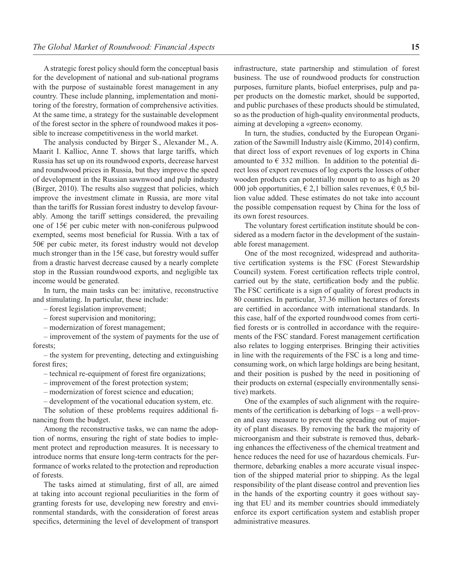A strategic forest policy should form the conceptual basis for the development of national and sub-national programs with the purpose of sustainable forest management in any country. These include planning, implementation and monitoring of the forestry, formation of comprehensive activities. At the same time, a strategy for the sustainable development of the forest sector in the sphere of roundwood makes it possible to increase competitiveness in the world market.

The analysis conducted by Birger S., Alexander M., A. Maarit I. Kallioc, Anne T. shows that large tariffs, which Russia has set up on its roundwood exports, decrease harvest and roundwood prices in Russia, but they improve the speed of development in the Russian sawnwood and pulp industry (Birger, 2010). The results also suggest that policies, which improve the investment climate in Russia, are more vital than the tariffs for Russian forest industry to develop favourably. Among the tariff settings considered, the prevailing one of 15€ per cubic meter with non-coniferous pulpwood exempted, seems most beneficial for Russia. With a tax of 50€ per cubic meter, its forest industry would not develop much stronger than in the 15 $\epsilon$  case, but forestry would suffer from a drastic harvest decrease caused by a nearly complete stop in the Russian roundwood exports, and negligible tax income would be generated.

In turn, the main tasks can be: imitative, reconstructive and stimulating. In particular, these include:

- forest legislation improvement;
- forest supervision and monitoring;
- modernization of forest management;

– improvement of the system of payments for the use of forests;

– the system for preventing, detecting and extinguishing forest fires:

- technical re-equipment of forest fire organizations;
- improvement of the forest protection system;
- modernization of forest science and education;
- development of the vocational education system, etc.

The solution of these problems requires additional financing from the budget.

Among the reconstructive tasks, we can name the adoption of norms, ensuring the right of state bodies to implement protect and reproduction measures. It is necessary to introduce norms that ensure long-term contracts for the performance of works related to the protection and reproduction of forests.

The tasks aimed at stimulating, first of all, are aimed at taking into account regional peculiarities in the form of granting forests for use, developing new forestry and environmental standards, with the consideration of forest areas specifics, determining the level of development of transport

infrastructure, state partnership and stimulation of forest business. The use of roundwood products for construction purposes, furniture plants, biofuel enterprises, pulp and paper products on the domestic market, should be supported, and public purchases of these products should be stimulated, so as the production of high-quality environmental products, aiming at developing a «green» economy.

In turn, the studies, conducted by the European Organization of the Sawmill Industry aisle (Kimmo, 2014) confirm, that direct loss of export revenues of log exports in China amounted to  $\epsilon$  332 million. In addition to the potential direct loss of export revenues of log exports the losses of other wooden products can potentially mount up to as high as 20 000 job opportunities,  $\epsilon$  2,1 billion sales revenues,  $\epsilon$  0,5 billion value added. These estimates do not take into account the possible compensation request by China for the loss of its own forest resources.

The voluntary forest certification institute should be considered as a modern factor in the development of the sustainable forest management.

One of the most recognized, widespread and authoritative certification systems is the FSC (Forest Stewardship Council) system. Forest certification reflects triple control, carried out by the state, certification body and the public. The FSC certificate is a sign of quality of forest products in 80 countries. In particular, 37.36 million hectares of forests are certified in accordance with international standards. In this case, half of the exported roundwood comes from certified forests or is controlled in accordance with the requirements of the FSC standard. Forest management certification also relates to logging enterprises. Bringing their activities in line with the requirements of the FSC is a long and timeconsuming work, on which large holdings are being hesitant, and their position is pushed by the need in positioning of their products on external (especially environmentally sensitive) markets.

One of the examples of such alignment with the requirements of the certification is debarking of  $\log s - a$  well-proven and easy measure to prevent the spreading out of majority of plant diseases. By removing the bark the majority of microorganism and their substrate is removed thus, debarking enhances the effectiveness of the chemical treatment and hence reduces the need for use of hazardous chemicals. Furthermore, debarking enables a more accurate visual inspection of the shipped material prior to shipping. As the legal responsibility of the plant disease control and prevention lies in the hands of the exporting country it goes without saying that EU and its member countries should immediately enforce its export certification system and establish proper administrative measures.